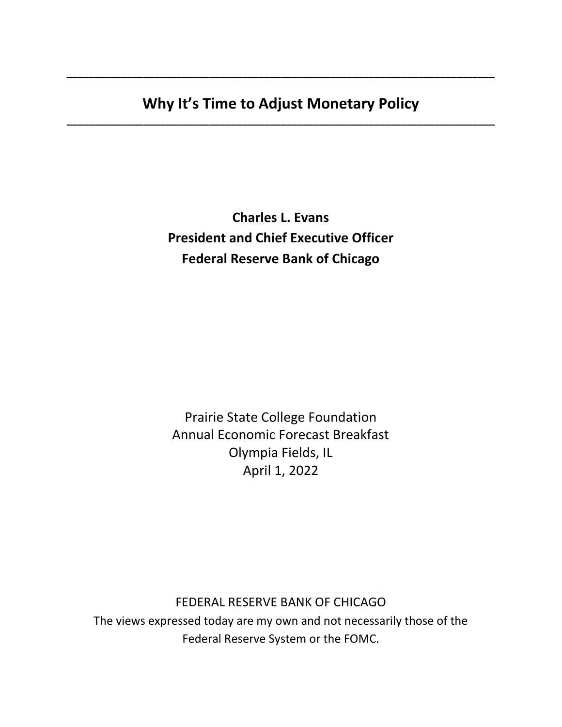# **Why It's Time to Adjust Monetary Policy \_\_\_\_\_\_\_\_\_\_\_\_\_\_\_\_\_\_\_\_\_\_\_\_\_\_\_\_\_\_\_\_\_\_\_\_\_\_\_\_\_\_\_\_\_\_\_\_\_\_\_\_\_\_\_\_\_\_\_\_\_\_\_\_\_\_\_\_\_\_\_\_\_\_\_\_\_\_**

**\_\_\_\_\_\_\_\_\_\_\_\_\_\_\_\_\_\_\_\_\_\_\_\_\_\_\_\_\_\_\_\_\_\_\_\_\_\_\_\_\_\_\_\_\_\_\_\_\_\_\_\_\_\_\_\_\_\_\_\_\_\_\_\_\_\_\_\_\_\_\_\_\_\_\_\_\_\_**

**Charles L. Evans President and Chief Executive Officer Federal Reserve Bank of Chicago** 

Prairie State College Foundation Annual Economic Forecast Breakfast Olympia Fields, IL April 1, 2022

### \_\_\_\_\_\_\_\_\_\_\_\_\_\_\_\_\_\_\_\_\_\_\_\_\_\_\_\_\_\_\_\_\_\_\_\_\_ FEDERAL RESERVE BANK OF CHICAGO

The views expressed today are my own and not necessarily those of the Federal Reserve System or the FOMC.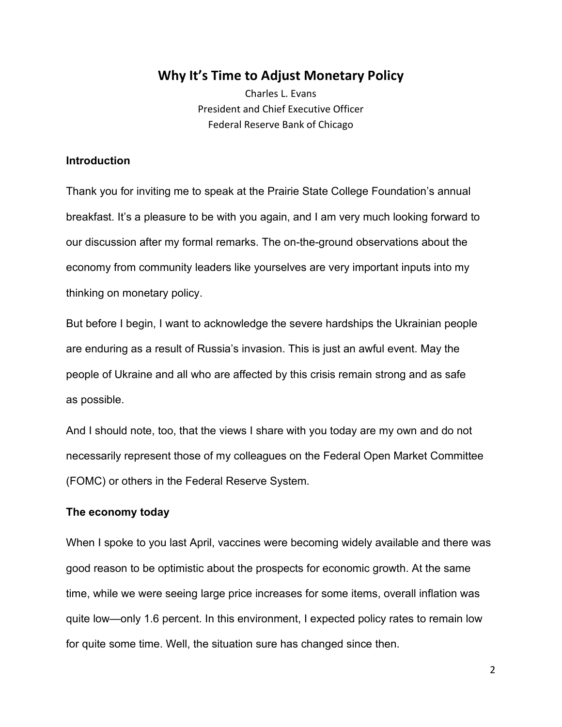## **Why It's Time to Adjust Monetary Policy**

Charles L. Evans President and Chief Executive Officer Federal Reserve Bank of Chicago

### **Introduction**

Thank you for inviting me to speak at the Prairie State College Foundation's annual breakfast. It's a pleasure to be with you again, and I am very much looking forward to our discussion after my formal remarks. The on-the-ground observations about the economy from community leaders like yourselves are very important inputs into my thinking on monetary policy.

But before I begin, I want to acknowledge the severe hardships the Ukrainian people are enduring as a result of Russia's invasion. This is just an awful event. May the people of Ukraine and all who are affected by this crisis remain strong and as safe as possible.

And I should note, too, that the views I share with you today are my own and do not necessarily represent those of my colleagues on the Federal Open Market Committee (FOMC) or others in the Federal Reserve System.

### **The economy today**

When I spoke to you last April, vaccines were becoming widely available and there was good reason to be optimistic about the prospects for economic growth. At the same time, while we were seeing large price increases for some items, overall inflation was quite low—only 1.6 percent. In this environment, I expected policy rates to remain low for quite some time. Well, the situation sure has changed since then.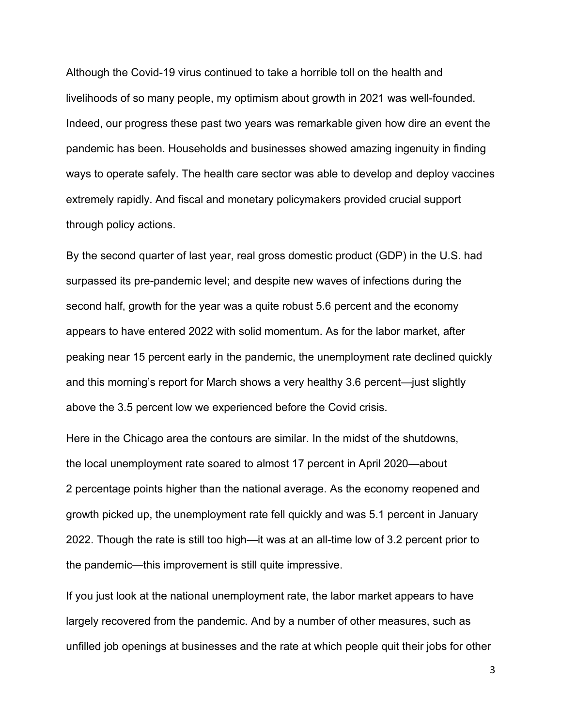Although the Covid-19 virus continued to take a horrible toll on the health and livelihoods of so many people, my optimism about growth in 2021 was well-founded. Indeed, our progress these past two years was remarkable given how dire an event the pandemic has been. Households and businesses showed amazing ingenuity in finding ways to operate safely. The health care sector was able to develop and deploy vaccines extremely rapidly. And fiscal and monetary policymakers provided crucial support through policy actions.

By the second quarter of last year, real gross domestic product (GDP) in the U.S. had surpassed its pre-pandemic level; and despite new waves of infections during the second half, growth for the year was a quite robust 5.6 percent and the economy appears to have entered 2022 with solid momentum. As for the labor market, after peaking near 15 percent early in the pandemic, the unemployment rate declined quickly and this morning's report for March shows a very healthy 3.6 percent—just slightly above the 3.5 percent low we experienced before the Covid crisis.

Here in the Chicago area the contours are similar. In the midst of the shutdowns, the local unemployment rate soared to almost 17 percent in April 2020—about 2 percentage points higher than the national average. As the economy reopened and growth picked up, the unemployment rate fell quickly and was 5.1 percent in January 2022. Though the rate is still too high—it was at an all-time low of 3.2 percent prior to the pandemic—this improvement is still quite impressive.

If you just look at the national unemployment rate, the labor market appears to have largely recovered from the pandemic. And by a number of other measures, such as unfilled job openings at businesses and the rate at which people quit their jobs for other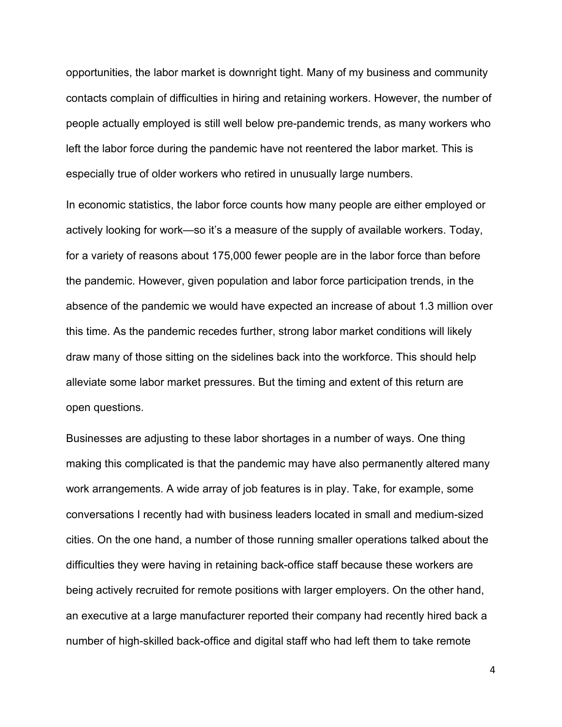opportunities, the labor market is downright tight. Many of my business and community contacts complain of difficulties in hiring and retaining workers. However, the number of people actually employed is still well below pre-pandemic trends, as many workers who left the labor force during the pandemic have not reentered the labor market. This is especially true of older workers who retired in unusually large numbers.

In economic statistics, the labor force counts how many people are either employed or actively looking for work—so it's a measure of the supply of available workers. Today, for a variety of reasons about 175,000 fewer people are in the labor force than before the pandemic. However, given population and labor force participation trends, in the absence of the pandemic we would have expected an increase of about 1.3 million over this time. As the pandemic recedes further, strong labor market conditions will likely draw many of those sitting on the sidelines back into the workforce. This should help alleviate some labor market pressures. But the timing and extent of this return are open questions.

Businesses are adjusting to these labor shortages in a number of ways. One thing making this complicated is that the pandemic may have also permanently altered many work arrangements. A wide array of job features is in play. Take, for example, some conversations I recently had with business leaders located in small and medium-sized cities. On the one hand, a number of those running smaller operations talked about the difficulties they were having in retaining back-office staff because these workers are being actively recruited for remote positions with larger employers. On the other hand, an executive at a large manufacturer reported their company had recently hired back a number of high-skilled back-office and digital staff who had left them to take remote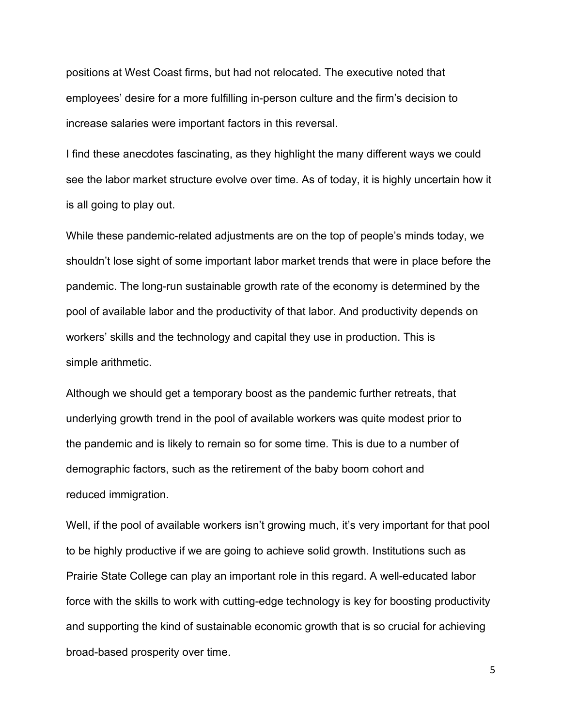positions at West Coast firms, but had not relocated. The executive noted that employees' desire for a more fulfilling in-person culture and the firm's decision to increase salaries were important factors in this reversal.

I find these anecdotes fascinating, as they highlight the many different ways we could see the labor market structure evolve over time. As of today, it is highly uncertain how it is all going to play out.

While these pandemic-related adjustments are on the top of people's minds today, we shouldn't lose sight of some important labor market trends that were in place before the pandemic. The long-run sustainable growth rate of the economy is determined by the pool of available labor and the productivity of that labor. And productivity depends on workers' skills and the technology and capital they use in production. This is simple arithmetic.

Although we should get a temporary boost as the pandemic further retreats, that underlying growth trend in the pool of available workers was quite modest prior to the pandemic and is likely to remain so for some time. This is due to a number of demographic factors, such as the retirement of the baby boom cohort and reduced immigration.

Well, if the pool of available workers isn't growing much, it's very important for that pool to be highly productive if we are going to achieve solid growth. Institutions such as Prairie State College can play an important role in this regard. A well-educated labor force with the skills to work with cutting-edge technology is key for boosting productivity and supporting the kind of sustainable economic growth that is so crucial for achieving broad-based prosperity over time.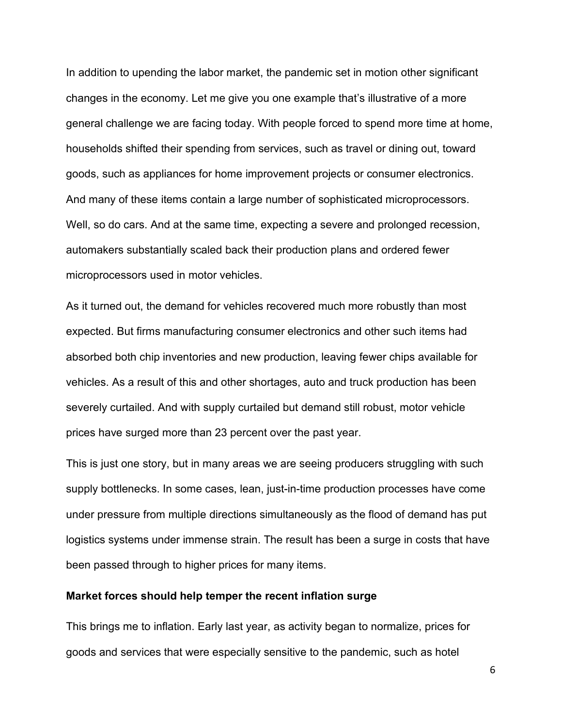In addition to upending the labor market, the pandemic set in motion other significant changes in the economy. Let me give you one example that's illustrative of a more general challenge we are facing today. With people forced to spend more time at home, households shifted their spending from services, such as travel or dining out, toward goods, such as appliances for home improvement projects or consumer electronics. And many of these items contain a large number of sophisticated microprocessors. Well, so do cars. And at the same time, expecting a severe and prolonged recession, automakers substantially scaled back their production plans and ordered fewer microprocessors used in motor vehicles.

As it turned out, the demand for vehicles recovered much more robustly than most expected. But firms manufacturing consumer electronics and other such items had absorbed both chip inventories and new production, leaving fewer chips available for vehicles. As a result of this and other shortages, auto and truck production has been severely curtailed. And with supply curtailed but demand still robust, motor vehicle prices have surged more than 23 percent over the past year.

This is just one story, but in many areas we are seeing producers struggling with such supply bottlenecks. In some cases, lean, just-in-time production processes have come under pressure from multiple directions simultaneously as the flood of demand has put logistics systems under immense strain. The result has been a surge in costs that have been passed through to higher prices for many items.

### **Market forces should help temper the recent inflation surge**

This brings me to inflation. Early last year, as activity began to normalize, prices for goods and services that were especially sensitive to the pandemic, such as hotel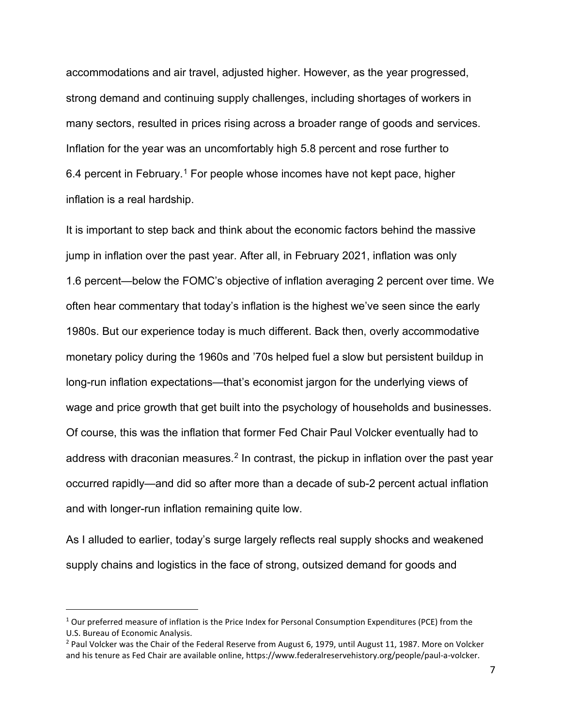accommodations and air travel, adjusted higher. However, as the year progressed, strong demand and continuing supply challenges, including shortages of workers in many sectors, resulted in prices rising across a broader range of goods and services. Inflation for the year was an uncomfortably high 5.8 percent and rose further to 6.4 percent in February.[1](#page-6-0) For people whose incomes have not kept pace, higher inflation is a real hardship.

It is important to step back and think about the economic factors behind the massive jump in inflation over the past year. After all, in February 2021, inflation was only 1.6 percent—below the FOMC's objective of inflation averaging 2 percent over time. We often hear commentary that today's inflation is the highest we've seen since the early 1980s. But our experience today is much different. Back then, overly accommodative monetary policy during the 1960s and '70s helped fuel a slow but persistent buildup in long-run inflation expectations—that's economist jargon for the underlying views of wage and price growth that get built into the psychology of households and businesses. Of course, this was the inflation that former Fed Chair Paul Volcker eventually had to address with draconian measures.<sup>[2](#page-6-1)</sup> In contrast, the pickup in inflation over the past year occurred rapidly—and did so after more than a decade of sub-2 percent actual inflation and with longer-run inflation remaining quite low.

As I alluded to earlier, today's surge largely reflects real supply shocks and weakened supply chains and logistics in the face of strong, outsized demand for goods and

<span id="page-6-0"></span> $1$  Our preferred measure of inflation is the Price Index for Personal Consumption Expenditures (PCE) from the U.S. Bureau of Economic Analysis.

<span id="page-6-1"></span> $2$  Paul Volcker was the Chair of the Federal Reserve from August 6, 1979, until August 11, 1987. More on Volcker and his tenure as Fed Chair are available online, https://www.federalreservehistory.org/people/paul-a-volcker.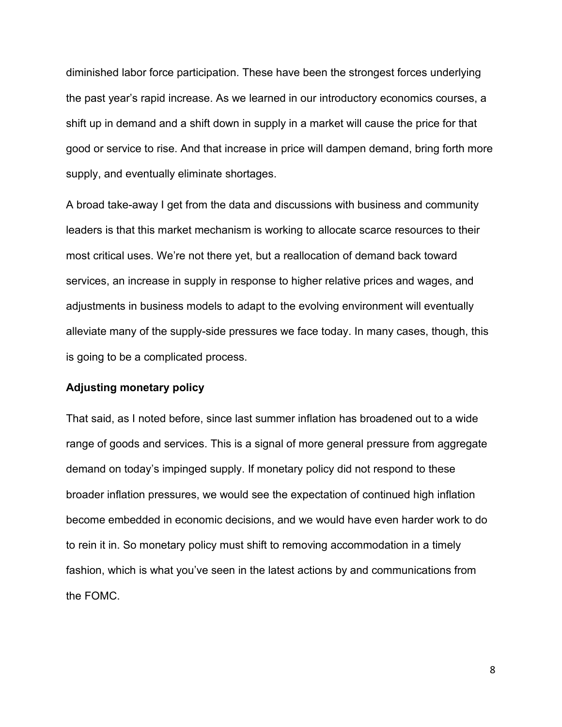diminished labor force participation. These have been the strongest forces underlying the past year's rapid increase. As we learned in our introductory economics courses, a shift up in demand and a shift down in supply in a market will cause the price for that good or service to rise. And that increase in price will dampen demand, bring forth more supply, and eventually eliminate shortages.

A broad take-away I get from the data and discussions with business and community leaders is that this market mechanism is working to allocate scarce resources to their most critical uses. We're not there yet, but a reallocation of demand back toward services, an increase in supply in response to higher relative prices and wages, and adjustments in business models to adapt to the evolving environment will eventually alleviate many of the supply-side pressures we face today. In many cases, though, this is going to be a complicated process.

#### **Adjusting monetary policy**

That said, as I noted before, since last summer inflation has broadened out to a wide range of goods and services. This is a signal of more general pressure from aggregate demand on today's impinged supply. If monetary policy did not respond to these broader inflation pressures, we would see the expectation of continued high inflation become embedded in economic decisions, and we would have even harder work to do to rein it in. So monetary policy must shift to removing accommodation in a timely fashion, which is what you've seen in the latest actions by and communications from the FOMC.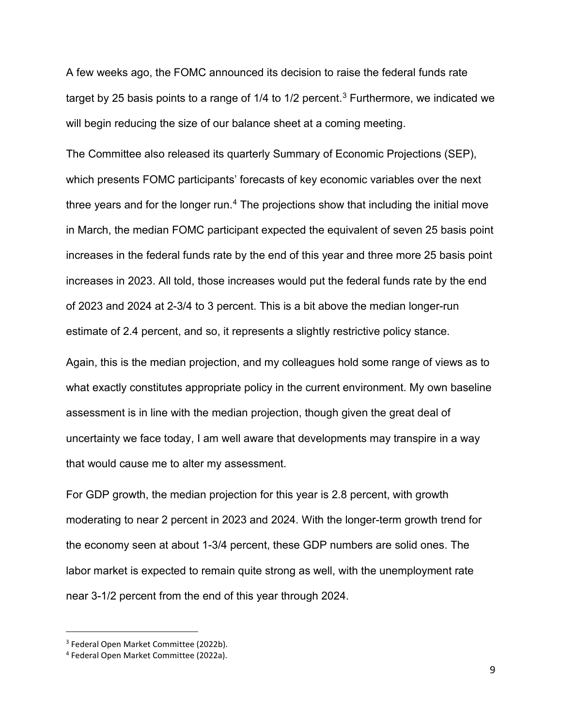A few weeks ago, the FOMC announced its decision to raise the federal funds rate target by 25 basis points to a range of  $1/4$  to  $1/2$  percent.<sup>[3](#page-8-0)</sup> Furthermore, we indicated we will begin reducing the size of our balance sheet at a coming meeting.

The Committee also released its quarterly Summary of Economic Projections (SEP), which presents FOMC participants' forecasts of key economic variables over the next three years and for the longer run.<sup>[4](#page-8-1)</sup> The projections show that including the initial move in March, the median FOMC participant expected the equivalent of seven 25 basis point increases in the federal funds rate by the end of this year and three more 25 basis point increases in 2023. All told, those increases would put the federal funds rate by the end of 2023 and 2024 at 2-3/4 to 3 percent. This is a bit above the median longer-run estimate of 2.4 percent, and so, it represents a slightly restrictive policy stance.

Again, this is the median projection, and my colleagues hold some range of views as to what exactly constitutes appropriate policy in the current environment. My own baseline assessment is in line with the median projection, though given the great deal of uncertainty we face today, I am well aware that developments may transpire in a way that would cause me to alter my assessment.

For GDP growth, the median projection for this year is 2.8 percent, with growth moderating to near 2 percent in 2023 and 2024. With the longer-term growth trend for the economy seen at about 1-3/4 percent, these GDP numbers are solid ones. The labor market is expected to remain quite strong as well, with the unemployment rate near 3-1/2 percent from the end of this year through 2024.

<span id="page-8-0"></span><sup>3</sup> Federal Open Market Committee (2022b).

<span id="page-8-1"></span><sup>4</sup> Federal Open Market Committee (2022a).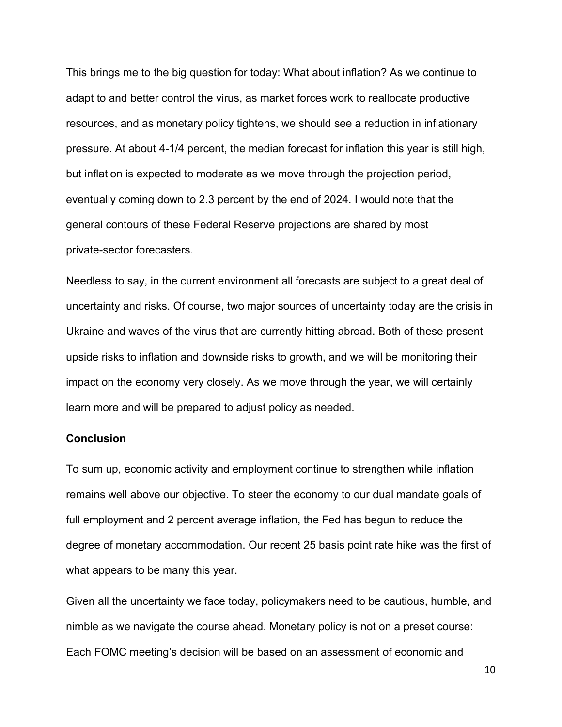This brings me to the big question for today: What about inflation? As we continue to adapt to and better control the virus, as market forces work to reallocate productive resources, and as monetary policy tightens, we should see a reduction in inflationary pressure. At about 4-1/4 percent, the median forecast for inflation this year is still high, but inflation is expected to moderate as we move through the projection period, eventually coming down to 2.3 percent by the end of 2024. I would note that the general contours of these Federal Reserve projections are shared by most private-sector forecasters.

Needless to say, in the current environment all forecasts are subject to a great deal of uncertainty and risks. Of course, two major sources of uncertainty today are the crisis in Ukraine and waves of the virus that are currently hitting abroad. Both of these present upside risks to inflation and downside risks to growth, and we will be monitoring their impact on the economy very closely. As we move through the year, we will certainly learn more and will be prepared to adjust policy as needed.

#### **Conclusion**

To sum up, economic activity and employment continue to strengthen while inflation remains well above our objective. To steer the economy to our dual mandate goals of full employment and 2 percent average inflation, the Fed has begun to reduce the degree of monetary accommodation. Our recent 25 basis point rate hike was the first of what appears to be many this year.

Given all the uncertainty we face today, policymakers need to be cautious, humble, and nimble as we navigate the course ahead. Monetary policy is not on a preset course: Each FOMC meeting's decision will be based on an assessment of economic and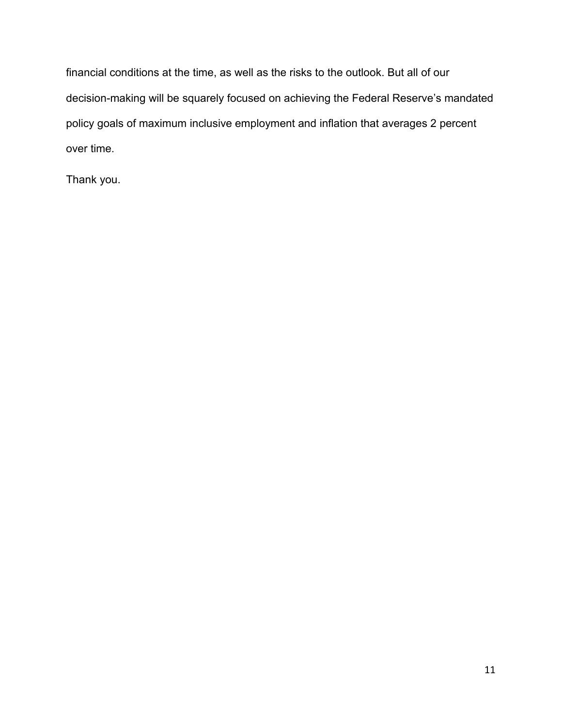financial conditions at the time, as well as the risks to the outlook. But all of our decision-making will be squarely focused on achieving the Federal Reserve's mandated policy goals of maximum inclusive employment and inflation that averages 2 percent over time.

Thank you.